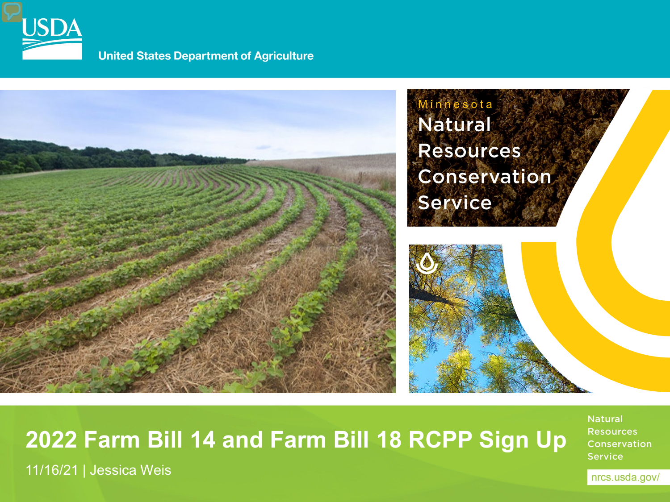

11/16/21 | Jessica Weis

**United States Department of Agriculture** 



**2022 Farm Bill 14 and Farm Bill 18 RCPP Sign Up**

**Natural Resources Conservation Service**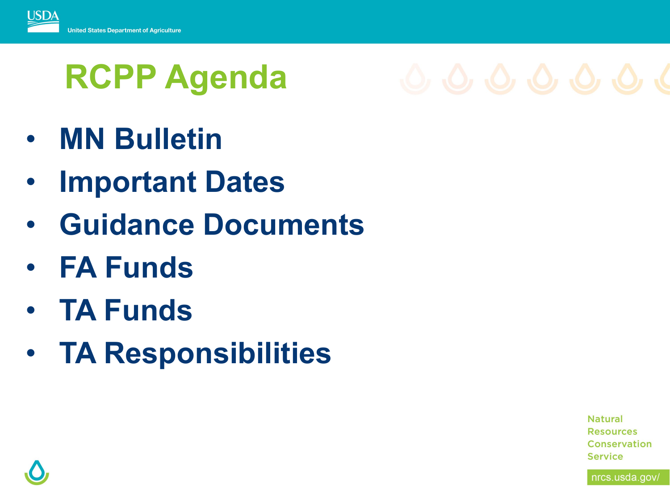

# **RCPP Agenda**



- **MN Bulletin**
- **Important Dates**
- **Guidance Documents**
- **FA Funds**
- **TA Funds**
- **TA Responsibilities**

**Natural Resources** Conservation **Service** 

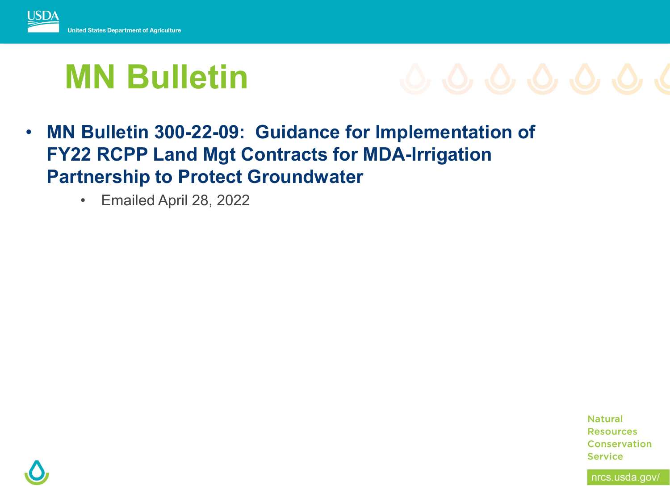

## **MN Bulletin**



- **MN Bulletin 300-22-09: Guidance for Implementation of FY22 RCPP Land Mgt Contracts for MDA-Irrigation Partnership to Protect Groundwater**
	- Emailed April 28, 2022

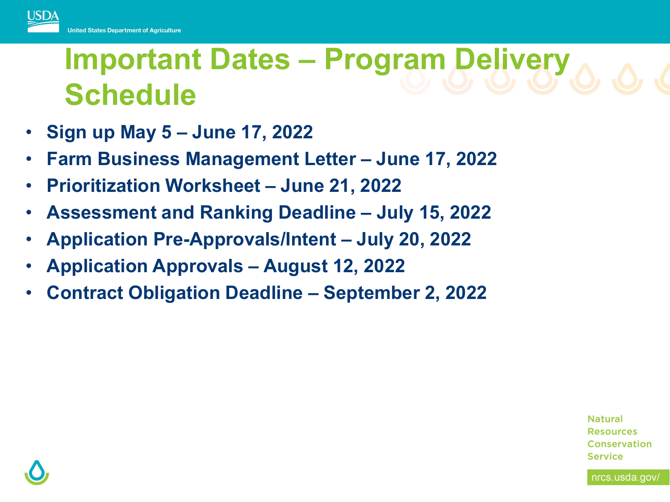

## **Important Dates – Program Delivery Schedule**

- **Sign up May 5 – June 17, 2022**
- **Farm Business Management Letter – June 17, 2022**
- **Prioritization Worksheet – June 21, 2022**
- **Assessment and Ranking Deadline – July 15, 2022**
- **Application Pre-Approvals/Intent – July 20, 2022**
- **Application Approvals – August 12, 2022**
- **Contract Obligation Deadline – September 2, 2022**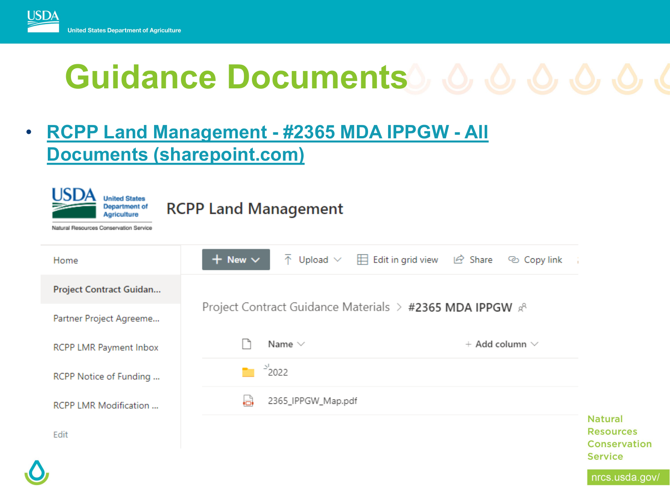

# **Guidance Documents**  $\circ$   $\circ$   $\circ$   $\circ$   $\circ$   $\circ$   $\circ$

## • **RCPP Land Management - #2365 MDA IPPGW - All [Documents \(sharepoint.com\)](https://usdagcc.sharepoint.com/sites/nrcs_minnesota/intranet/mnh/programs/fap/MNRCPP18/Project%20Guidance%20Materials/Forms/FB2018%20MN%20Projects.aspx?id=%2Fsites%2Fnrcs%5Fminnesota%2Fintranet%2Fmnh%2Fprograms%2Ffap%2FMNRCPP18%2FProject%20Guidance%20Materials%2F%232365%20MDA%20IPPGW&viewid=9b8d01a6%2D370e%2D460b%2D83dc%2D1544bcde3c02)**

| USDA<br><b>United States</b><br><b>Department of</b><br><b>RCPP Land Management</b><br><b>Agriculture</b><br>Natural Resources Conservation Service |                                                         |                                                  |                       |                                                                             |
|-----------------------------------------------------------------------------------------------------------------------------------------------------|---------------------------------------------------------|--------------------------------------------------|-----------------------|-----------------------------------------------------------------------------|
| Home                                                                                                                                                | $+$ New $\vee$<br>$\overline{\uparrow}$ Upload $\vee$   | $\Box$ Edit in grid view<br>$\mathfrak{S}$ Share | © Copy link<br>÷      |                                                                             |
| Project Contract Guidan                                                                                                                             |                                                         |                                                  |                       |                                                                             |
| Partner Project Agreeme                                                                                                                             | Project Contract Guidance Materials > #2365 MDA IPPGW & |                                                  |                       |                                                                             |
| RCPP LMR Payment Inbox                                                                                                                              | Name $\vee$                                             |                                                  | $+$ Add column $\vee$ |                                                                             |
| RCPP Notice of Funding                                                                                                                              | 2022                                                    |                                                  |                       |                                                                             |
| RCPP LMR Modification                                                                                                                               | ۱a<br>2365_IPPGW_Map.pdf                                |                                                  |                       |                                                                             |
| Edit                                                                                                                                                |                                                         |                                                  |                       | <b>Natural</b><br><b>Resources</b><br><b>Conservation</b><br><b>Service</b> |
| п                                                                                                                                                   |                                                         |                                                  |                       | وتعارض المتحارب المتحديث                                                    |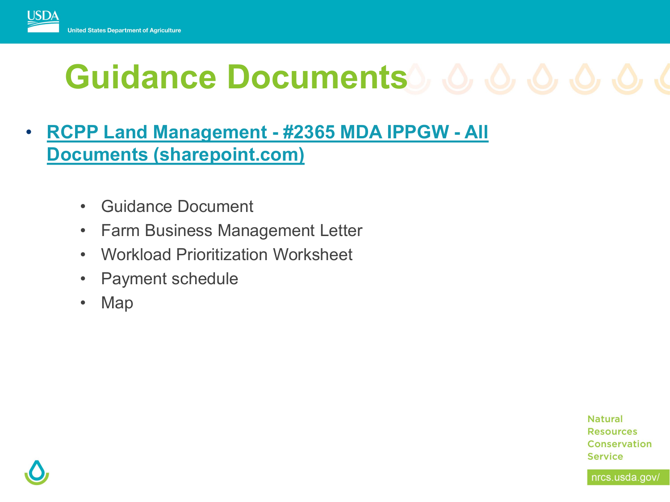

# **Guidance Documents**  $\circ$   $\circ$   $\circ$   $\circ$   $\circ$   $\circ$   $\circ$

- **RCPP Land Management - #2365 MDA IPPGW - All [Documents \(sharepoint.com\)](https://usdagcc.sharepoint.com/sites/nrcs_minnesota/intranet/mnh/programs/fap/MNRCPP18/Project%20Guidance%20Materials/Forms/FB2018%20MN%20Projects.aspx?id=%2Fsites%2Fnrcs%5Fminnesota%2Fintranet%2Fmnh%2Fprograms%2Ffap%2FMNRCPP18%2FProject%20Guidance%20Materials%2F%232365%20MDA%20IPPGW&viewid=9b8d01a6%2D370e%2D460b%2D83dc%2D1544bcde3c02)**
	- Guidance Document
	- Farm Business Management Letter
	- Workload Prioritization Worksheet
	- Payment schedule
	- Map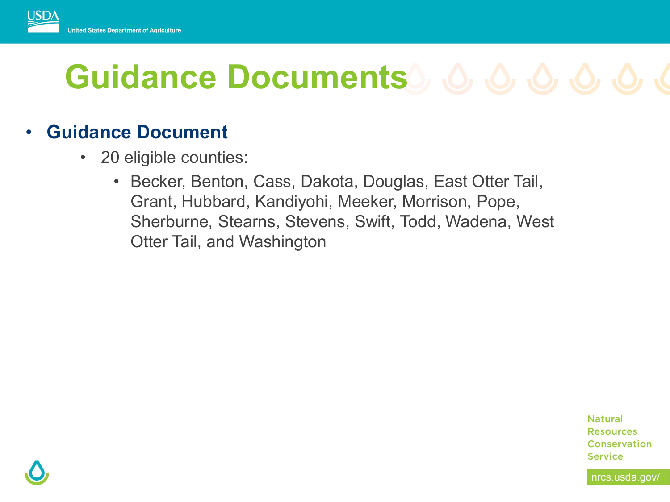

# **Guidance Documents**

#### • **Guidance Document**

- 20 eligible counties:
	- Becker, Benton, Cass, Dakota, Douglas, East Otter Tail, Grant, Hubbard, Kandiyohi, Meeker, Morrison, Pope, Sherburne, Stearns, Stevens, Swift, Todd, Wadena, West Otter Tail, and Washington

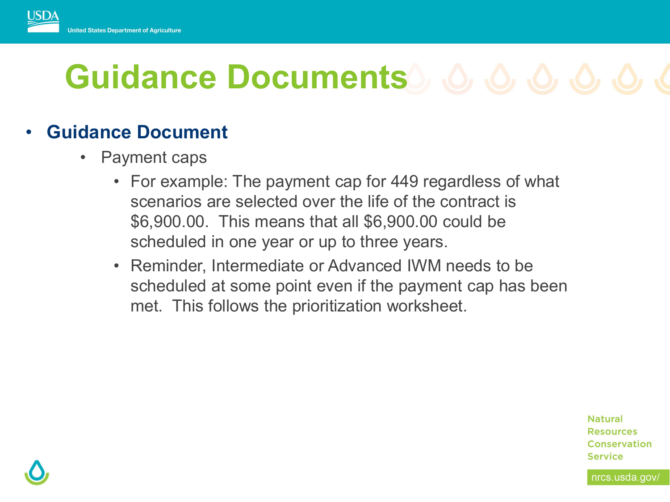

# **Guidance Documents**  $\circ$   $\circ$   $\circ$   $\circ$   $\circ$   $\circ$   $\circ$

#### • **Guidance Document**

- Payment caps
	- For example: The payment cap for 449 regardless of what scenarios are selected over the life of the contract is \$6,900.00. This means that all \$6,900.00 could be scheduled in one year or up to three years.
	- Reminder, Intermediate or Advanced IWM needs to be scheduled at some point even if the payment cap has been met. This follows the prioritization worksheet.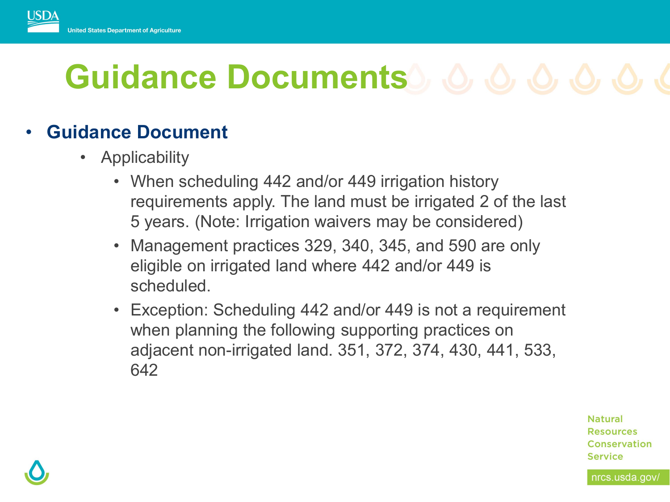

# Guidance Documents **6, 6, 6, 6, 6, 6**

#### • **Guidance Document**

- Applicability
	- When scheduling 442 and/or 449 irrigation history requirements apply. The land must be irrigated 2 of the last 5 years. (Note: Irrigation waivers may be considered)
	- Management practices 329, 340, 345, and 590 are only eligible on irrigated land where 442 and/or 449 is scheduled.
	- Exception: Scheduling 442 and/or 449 is not a requirement when planning the following supporting practices on adjacent non-irrigated land. 351, 372, 374, 430, 441, 533, 642

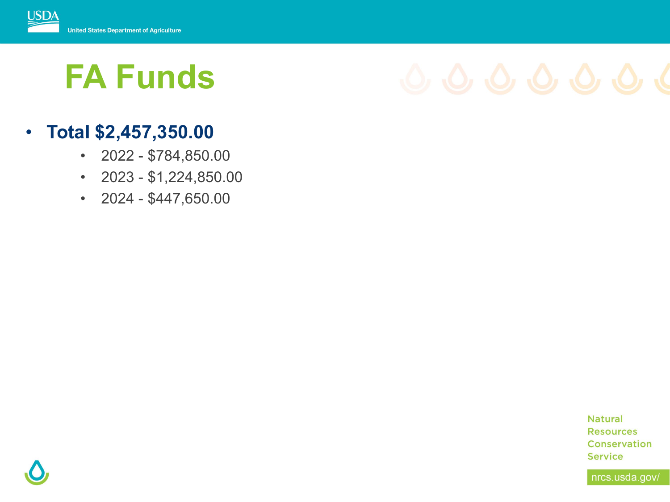

## **FA Funds**

## • **Total \$2,457,350.00**

- $\cdot$  2022 \$784,850.00
- $\cdot$  2023 \$1,224,850.00
- $\cdot$  2024 \$447,650.00

**Natural Resources** Conservation **Service** 

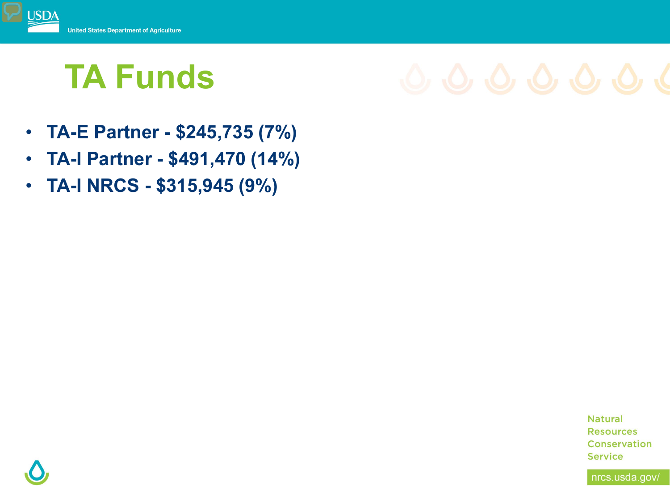

## **TA Funds**

- **TA-E Partner - \$245,735 (7%)**
- **TA-I Partner - \$491,470 (14%)**
- **TA-I NRCS - \$315,945 (9%)**

**Natural Resources Conservation Service** 

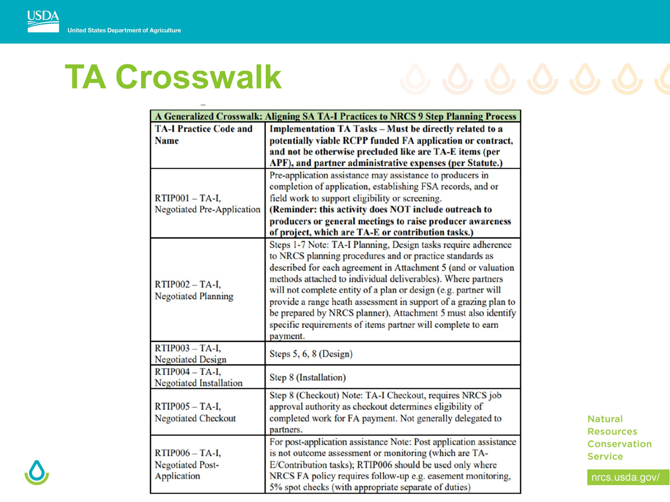## **TA Crosswalk**



**Natural Resources** Conservation **Service**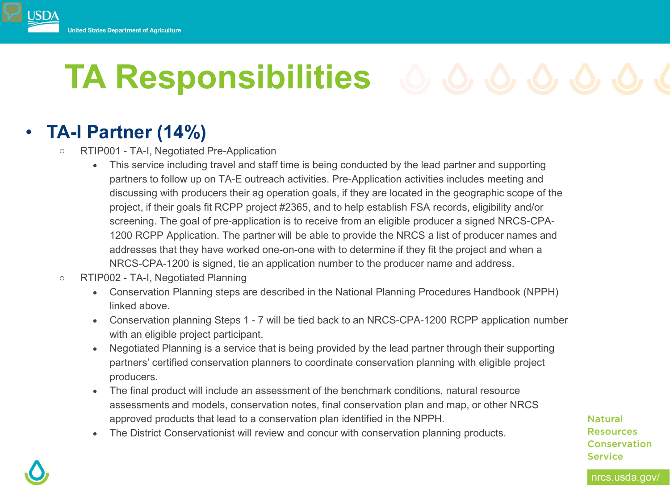

# **TA Responsibilities**

## • **TA-I Partner (14%)**

- o RTIP001 TA-I, Negotiated Pre-Application
	- This service including travel and staff time is being conducted by the lead partner and supporting partners to follow up on TA-E outreach activities. Pre-Application activities includes meeting and discussing with producers their ag operation goals, if they are located in the geographic scope of the project, if their goals fit RCPP project #2365, and to help establish FSA records, eligibility and/or screening. The goal of pre-application is to receive from an eligible producer a signed NRCS-CPA-1200 RCPP Application. The partner will be able to provide the NRCS a list of producer names and addresses that they have worked one-on-one with to determine if they fit the project and when a NRCS-CPA-1200 is signed, tie an application number to the producer name and address.
- o RTIP002 TA-I, Negotiated Planning
	- Conservation Planning steps are described in the National Planning Procedures Handbook (NPPH) linked above.
	- Conservation planning Steps 1 7 will be tied back to an NRCS-CPA-1200 RCPP application number with an eligible project participant.
	- Negotiated Planning is a service that is being provided by the lead partner through their supporting partners' certified conservation planners to coordinate conservation planning with eligible project producers.
	- The final product will include an assessment of the benchmark conditions, natural resource assessments and models, conservation notes, final conservation plan and map, or other NRCS approved products that lead to a conservation plan identified in the NPPH.
	- The District Conservationist will review and concur with conservation planning products.

**Natural Resources** Conservation **Service**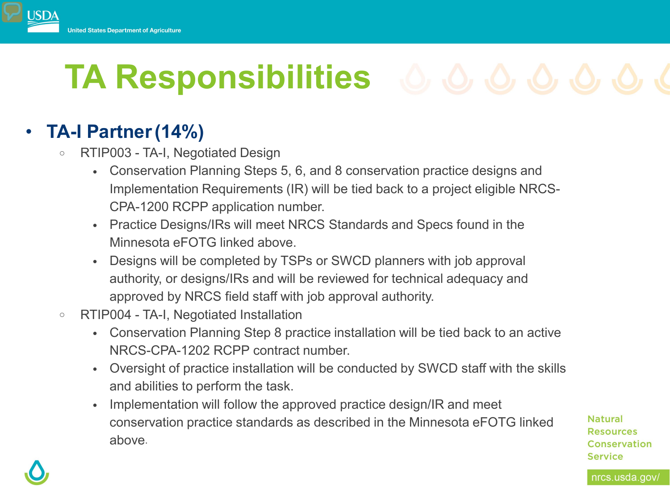## **Jnited States Department of Agriculture**

# **TA Responsibilities**  $\circledcirc$   $\circledcirc$   $\circledcirc$   $\circledcirc$   $\circledcirc$

## • **TA-I Partner(14%)**

- o RTIP003 TA-I, Negotiated Design
	- Conservation Planning Steps 5, 6, and 8 conservation practice designs and Implementation Requirements (IR) will be tied back to a project eligible NRCS-CPA-1200 RCPP application number.
	- Practice Designs/IRs will meet NRCS Standards and Specs found in the Minnesota eFOTG linked above.
	- Designs will be completed by TSPs or SWCD planners with job approval authority, or designs/IRs and will be reviewed for technical adequacy and approved by NRCS field staff with job approval authority.
- o RTIP004 TA-I, Negotiated Installation
	- Conservation Planning Step 8 practice installation will be tied back to an active NRCS-CPA-1202 RCPP contract number.
	- Oversight of practice installation will be conducted by SWCD staff with the skills and abilities to perform the task.
	- Implementation will follow the approved practice design/IR and meet conservation practice standards as described in the Minnesota eFOTG linked above.

**Natural Resources** Conservation **Service**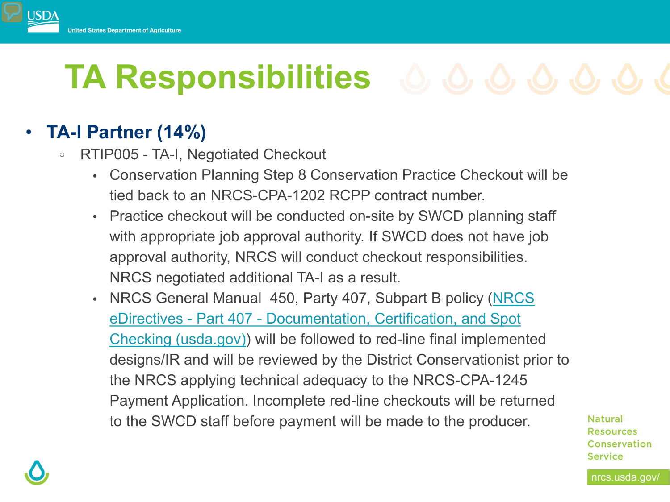

# **TA Responsibilities**  $\circledcirc \circledcirc \circledcirc \circledcirc \circledcirc \circledcirc$

## • **TA-I Partner (14%)**

- <sup>o</sup> RTIP005 TA-I, Negotiated Checkout
	- Conservation Planning Step 8 Conservation Practice Checkout will be tied back to an NRCS-CPA-1202 RCPP contract number.
	- Practice checkout will be conducted on-site by SWCD planning staff with appropriate job approval authority. If SWCD does not have job approval authority, NRCS will conduct checkout responsibilities. NRCS negotiated additional TA-I as a result.
	- NRCS General Manual 450, Party 407, Subpart B policy (NRCS) eDirectives - Part 407 - Documentation, Certification, and Spot [Checking \(usda.gov\)\) will be followed to red-line final implemente](https://directives.sc.egov.usda.gov/viewerFS.aspx?hid=37624)d designs/IR and will be reviewed by the District Conservationist prior to the NRCS applying technical adequacy to the NRCS-CPA-1245 Payment Application. Incomplete red-line checkouts will be returned to the SWCD staff before payment will be made to the producer.